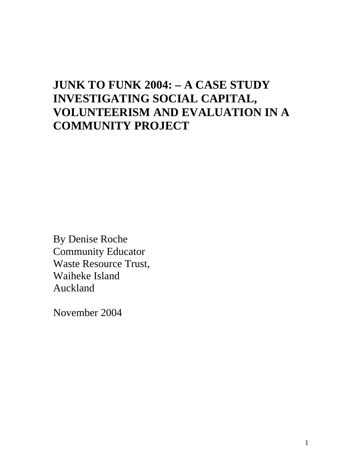# **JUNK TO FUNK 2004: – A CASE STUDY INVESTIGATING SOCIAL CAPITAL, VOLUNTEERISM AND EVALUATION IN A COMMUNITY PROJECT**

By Denise Roche Community Educator Waste Resource Trust, Waiheke Island Auckland

November 2004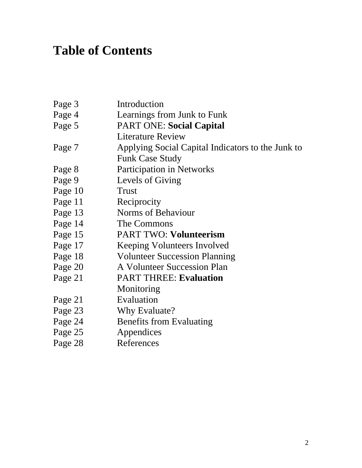# **Table of Contents**

| Page 3  | Introduction                                      |
|---------|---------------------------------------------------|
| Page 4  | Learnings from Junk to Funk                       |
| Page 5  | <b>PART ONE: Social Capital</b>                   |
|         | <b>Literature Review</b>                          |
| Page 7  | Applying Social Capital Indicators to the Junk to |
|         | <b>Funk Case Study</b>                            |
| Page 8  | <b>Participation in Networks</b>                  |
| Page 9  | Levels of Giving                                  |
| Page 10 | <b>Trust</b>                                      |
| Page 11 | Reciprocity                                       |
| Page 13 | Norms of Behaviour                                |
| Page 14 | The Commons                                       |
| Page 15 | <b>PART TWO: Volunteerism</b>                     |
| Page 17 | Keeping Volunteers Involved                       |
| Page 18 | <b>Volunteer Succession Planning</b>              |
| Page 20 | A Volunteer Succession Plan                       |
| Page 21 | <b>PART THREE: Evaluation</b>                     |
|         | Monitoring                                        |
| Page 21 | Evaluation                                        |
| Page 23 | Why Evaluate?                                     |
| Page 24 | <b>Benefits from Evaluating</b>                   |
| Page 25 | Appendices                                        |
| Page 28 | References                                        |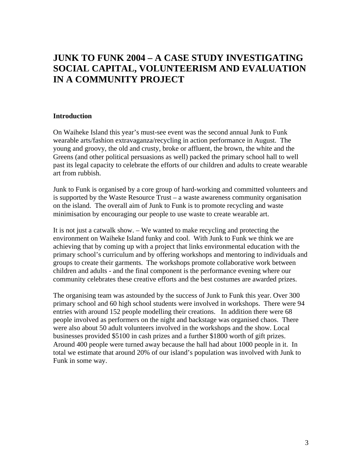## **JUNK TO FUNK 2004 – A CASE STUDY INVESTIGATING SOCIAL CAPITAL, VOLUNTEERISM AND EVALUATION IN A COMMUNITY PROJECT**

#### **Introduction**

On Waiheke Island this year's must-see event was the second annual Junk to Funk wearable arts/fashion extravaganza/recycling in action performance in August. The young and groovy, the old and crusty, broke or affluent, the brown, the white and the Greens (and other political persuasions as well) packed the primary school hall to well past its legal capacity to celebrate the efforts of our children and adults to create wearable art from rubbish.

Junk to Funk is organised by a core group of hard-working and committed volunteers and is supported by the Waste Resource Trust – a waste awareness community organisation on the island. The overall aim of Junk to Funk is to promote recycling and waste minimisation by encouraging our people to use waste to create wearable art.

It is not just a catwalk show. – We wanted to make recycling and protecting the environment on Waiheke Island funky and cool. With Junk to Funk we think we are achieving that by coming up with a project that links environmental education with the primary school's curriculum and by offering workshops and mentoring to individuals and groups to create their garments. The workshops promote collaborative work between children and adults - and the final component is the performance evening where our community celebrates these creative efforts and the best costumes are awarded prizes.

The organising team was astounded by the success of Junk to Funk this year. Over 300 primary school and 60 high school students were involved in workshops. There were 94 entries with around 152 people modelling their creations. In addition there were 68 people involved as performers on the night and backstage was organised chaos. There were also about 50 adult volunteers involved in the workshops and the show. Local businesses provided \$5100 in cash prizes and a further \$1800 worth of gift prizes. Around 400 people were turned away because the hall had about 1000 people in it. In total we estimate that around 20% of our island's population was involved with Junk to Funk in some way.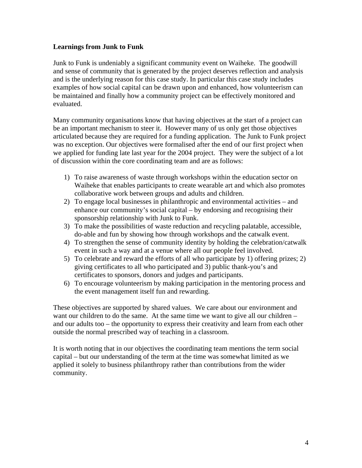#### **Learnings from Junk to Funk**

Junk to Funk is undeniably a significant community event on Waiheke. The goodwill and sense of community that is generated by the project deserves reflection and analysis and is the underlying reason for this case study. In particular this case study includes examples of how social capital can be drawn upon and enhanced, how volunteerism can be maintained and finally how a community project can be effectively monitored and evaluated.

Many community organisations know that having objectives at the start of a project can be an important mechanism to steer it. However many of us only get those objectives articulated because they are required for a funding application. The Junk to Funk project was no exception. Our objectives were formalised after the end of our first project when we applied for funding late last year for the 2004 project. They were the subject of a lot of discussion within the core coordinating team and are as follows:

- 1) To raise awareness of waste through workshops within the education sector on Waiheke that enables participants to create wearable art and which also promotes collaborative work between groups and adults and children.
- 2) To engage local businesses in philanthropic and environmental activities and enhance our community's social capital – by endorsing and recognising their sponsorship relationship with Junk to Funk.
- 3) To make the possibilities of waste reduction and recycling palatable, accessible, do-able and fun by showing how through workshops and the catwalk event.
- 4) To strengthen the sense of community identity by holding the celebration/catwalk event in such a way and at a venue where all our people feel involved.
- 5) To celebrate and reward the efforts of all who participate by 1) offering prizes; 2) giving certificates to all who participated and 3) public thank-you's and certificates to sponsors, donors and judges and participants.
- 6) To encourage volunteerism by making participation in the mentoring process and the event management itself fun and rewarding.

These objectives are supported by shared values. We care about our environment and want our children to do the same. At the same time we want to give all our children – and our adults too – the opportunity to express their creativity and learn from each other outside the normal prescribed way of teaching in a classroom.

It is worth noting that in our objectives the coordinating team mentions the term social capital – but our understanding of the term at the time was somewhat limited as we applied it solely to business philanthropy rather than contributions from the wider community.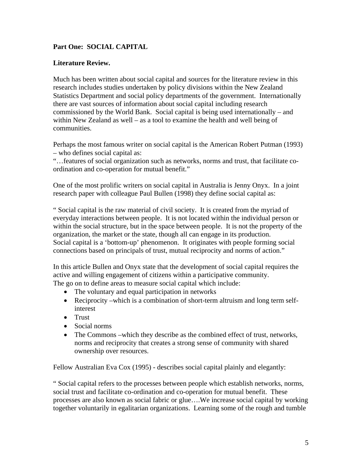### **Part One: SOCIAL CAPITAL**

#### **Literature Review.**

Much has been written about social capital and sources for the literature review in this research includes studies undertaken by policy divisions within the New Zealand Statistics Department and social policy departments of the government. Internationally there are vast sources of information about social capital including research commissioned by the World Bank. Social capital is being used internationally – and within New Zealand as well – as a tool to examine the health and well being of communities.

Perhaps the most famous writer on social capital is the American Robert Putman (1993) – who defines social capital as:

"…features of social organization such as networks, norms and trust, that facilitate coordination and co-operation for mutual benefit."

One of the most prolific writers on social capital in Australia is Jenny Onyx. In a joint research paper with colleague Paul Bullen (1998) they define social capital as:

" Social capital is the raw material of civil society. It is created from the myriad of everyday interactions between people. It is not located within the individual person or within the social structure, but in the space between people. It is not the property of the organization, the market or the state, though all can engage in its production. Social capital is a 'bottom-up' phenomenon. It originates with people forming social connections based on principals of trust, mutual reciprocity and norms of action."

In this article Bullen and Onyx state that the development of social capital requires the active and willing engagement of citizens within a participative community. The go on to define areas to measure social capital which include:

- The voluntary and equal participation in networks
- Reciprocity –which is a combination of short-term altruism and long term selfinterest
- Trust
- Social norms
- The Commons –which they describe as the combined effect of trust, networks, norms and reciprocity that creates a strong sense of community with shared ownership over resources.

Fellow Australian Eva Cox (1995) - describes social capital plainly and elegantly:

" Social capital refers to the processes between people which establish networks, norms, social trust and facilitate co-ordination and co-operation for mutual benefit. These processes are also known as social fabric or glue….We increase social capital by working together voluntarily in egalitarian organizations. Learning some of the rough and tumble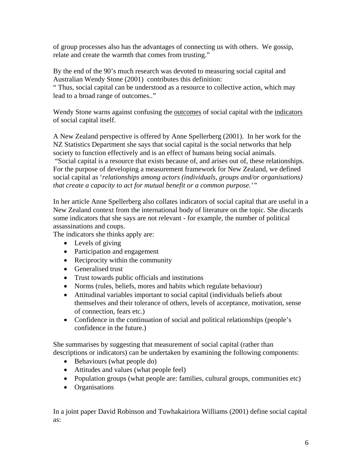of group processes also has the advantages of connecting us with others. We gossip, relate and create the warmth that comes from trusting."

By the end of the 90's much research was devoted to measuring social capital and Australian Wendy Stone (2001) contributes this definition:

" Thus, social capital can be understood as a resource to collective action, which may lead to a broad range of outcomes.."

Wendy Stone warns against confusing the outcomes of social capital with the indicators of social capital itself.

A New Zealand perspective is offered by Anne Spellerberg (2001). In her work for the NZ Statistics Department she says that social capital is the social networks that help society to function effectively and is an effect of humans being social animals.

 "Social capital is a resource that exists because of, and arises out of, these relationships. For the purpose of developing a measurement framework for New Zealand, we defined social capital as '*relationships among actors (individuals, groups and/or organisations) that create a capacity to act for mutual benefit or a common purpose.'"* 

In her article Anne Spellerberg also collates indicators of social capital that are useful in a New Zealand context from the international body of literature on the topic. She discards some indicators that she says are not relevant - for example, the number of political assassinations and coups.

The indicators she thinks apply are:

- Levels of giving
- Participation and engagement
- Reciprocity within the community
- Generalised trust
- Trust towards public officials and institutions
- Norms (rules, beliefs, mores and habits which regulate behaviour)
- Attitudinal variables important to social capital (individuals beliefs about themselves and their tolerance of others, levels of acceptance, motivation, sense of connection, fears etc.)
- Confidence in the continuation of social and political relationships (people's confidence in the future.)

She summarises by suggesting that measurement of social capital (rather than descriptions or indicators) can be undertaken by examining the following components:

- Behaviours (what people do)
- Attitudes and values (what people feel)
- Population groups (what people are: families, cultural groups, communities etc)
- Organisations

In a joint paper David Robinson and Tuwhakairiora Williams (2001) define social capital as: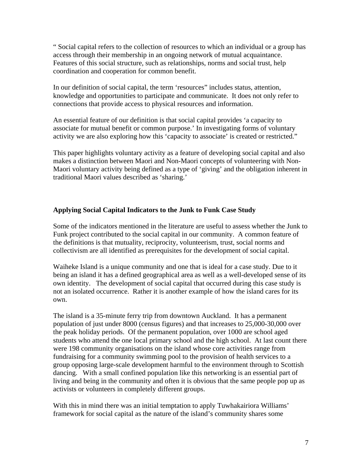" Social capital refers to the collection of resources to which an individual or a group has access through their membership in an ongoing network of mutual acquaintance. Features of this social structure, such as relationships, norms and social trust, help coordination and cooperation for common benefit.

In our definition of social capital, the term 'resources" includes status, attention, knowledge and opportunities to participate and communicate. It does not only refer to connections that provide access to physical resources and information.

An essential feature of our definition is that social capital provides 'a capacity to associate for mutual benefit or common purpose.' In investigating forms of voluntary activity we are also exploring how this 'capacity to associate' is created or restricted."

This paper highlights voluntary activity as a feature of developing social capital and also makes a distinction between Maori and Non-Maori concepts of volunteering with Non-Maori voluntary activity being defined as a type of 'giving' and the obligation inherent in traditional Maori values described as 'sharing.'

#### **Applying Social Capital Indicators to the Junk to Funk Case Study**

Some of the indicators mentioned in the literature are useful to assess whether the Junk to Funk project contributed to the social capital in our community. A common feature of the definitions is that mutuality, reciprocity, volunteerism, trust, social norms and collectivism are all identified as prerequisites for the development of social capital.

Waiheke Island is a unique community and one that is ideal for a case study. Due to it being an island it has a defined geographical area as well as a well-developed sense of its own identity. The development of social capital that occurred during this case study is not an isolated occurrence. Rather it is another example of how the island cares for its own.

The island is a 35-minute ferry trip from downtown Auckland. It has a permanent population of just under 8000 (census figures) and that increases to 25,000-30,000 over the peak holiday periods. Of the permanent population, over 1000 are school aged students who attend the one local primary school and the high school. At last count there were 198 community organisations on the island whose core activities range from fundraising for a community swimming pool to the provision of health services to a group opposing large-scale development harmful to the environment through to Scottish dancing. With a small confined population like this networking is an essential part of living and being in the community and often it is obvious that the same people pop up as activists or volunteers in completely different groups.

With this in mind there was an initial temptation to apply Tuwhakairiora Williams' framework for social capital as the nature of the island's community shares some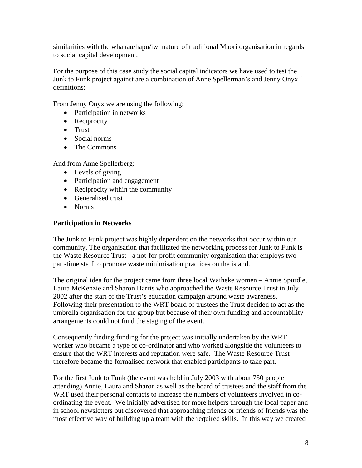similarities with the whanau/hapu/iwi nature of traditional Maori organisation in regards to social capital development.

For the purpose of this case study the social capital indicators we have used to test the Junk to Funk project against are a combination of Anne Spellerman's and Jenny Onyx ' definitions:

From Jenny Onyx we are using the following:

- Participation in networks
- Reciprocity
- Trust
- Social norms
- The Commons

And from Anne Spellerberg:

- Levels of giving
- Participation and engagement
- Reciprocity within the community
- Generalised trust
- Norms

#### **Participation in Networks**

The Junk to Funk project was highly dependent on the networks that occur within our community. The organisation that facilitated the networking process for Junk to Funk is the Waste Resource Trust - a not-for-profit community organisation that employs two part-time staff to promote waste minimisation practices on the island.

The original idea for the project came from three local Waiheke women – Annie Spurdle, Laura McKenzie and Sharon Harris who approached the Waste Resource Trust in July 2002 after the start of the Trust's education campaign around waste awareness. Following their presentation to the WRT board of trustees the Trust decided to act as the umbrella organisation for the group but because of their own funding and accountability arrangements could not fund the staging of the event.

Consequently finding funding for the project was initially undertaken by the WRT worker who became a type of co-ordinator and who worked alongside the volunteers to ensure that the WRT interests and reputation were safe. The Waste Resource Trust therefore became the formalised network that enabled participants to take part.

For the first Junk to Funk (the event was held in July 2003 with about 750 people attending) Annie, Laura and Sharon as well as the board of trustees and the staff from the WRT used their personal contacts to increase the numbers of volunteers involved in coordinating the event. We initially advertised for more helpers through the local paper and in school newsletters but discovered that approaching friends or friends of friends was the most effective way of building up a team with the required skills. In this way we created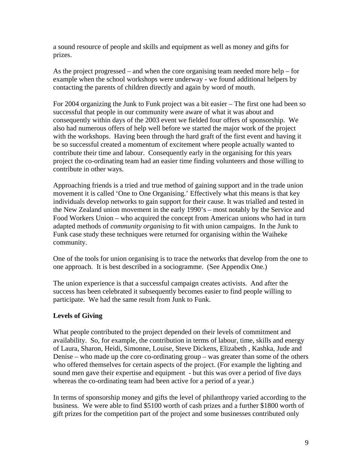a sound resource of people and skills and equipment as well as money and gifts for prizes.

As the project progressed – and when the core organising team needed more help – for example when the school workshops were underway - we found additional helpers by contacting the parents of children directly and again by word of mouth.

For 2004 organizing the Junk to Funk project was a bit easier – The first one had been so successful that people in our community were aware of what it was about and consequently within days of the 2003 event we fielded four offers of sponsorship. We also had numerous offers of help well before we started the major work of the project with the workshops. Having been through the hard graft of the first event and having it be so successful created a momentum of excitement where people actually wanted to contribute their time and labour. Consequently early in the organising for this years project the co-ordinating team had an easier time finding volunteers and those willing to contribute in other ways.

Approaching friends is a tried and true method of gaining support and in the trade union movement it is called 'One to One Organising.' Effectively what this means is that key individuals develop networks to gain support for their cause. It was trialled and tested in the New Zealand union movement in the early 1990's – most notably by the Service and Food Workers Union – who acquired the concept from American unions who had in turn adapted methods of *community organising* to fit with union campaigns. In the Junk to Funk case study these techniques were returned for organising within the Waiheke community.

One of the tools for union organising is to trace the networks that develop from the one to one approach. It is best described in a sociogramme. (See Appendix One.)

The union experience is that a successful campaign creates activists. And after the success has been celebrated it subsequently becomes easier to find people willing to participate. We had the same result from Junk to Funk.

#### **Levels of Giving**

What people contributed to the project depended on their levels of commitment and availability. So, for example, the contribution in terms of labour, time, skills and energy of Laura, Sharon, Heidi, Simonne, Louise, Steve Dickens, Elizabeth , Kashka, Jude and Denise – who made up the core co-ordinating group – was greater than some of the others who offered themselves for certain aspects of the project. (For example the lighting and sound men gave their expertise and equipment - but this was over a period of five days whereas the co-ordinating team had been active for a period of a year.)

In terms of sponsorship money and gifts the level of philanthropy varied according to the business. We were able to find \$5100 worth of cash prizes and a further \$1800 worth of gift prizes for the competition part of the project and some businesses contributed only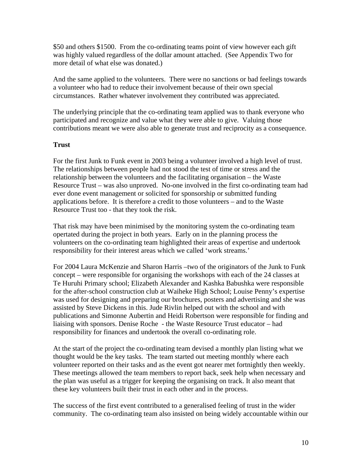\$50 and others \$1500. From the co-ordinating teams point of view however each gift was highly valued regardless of the dollar amount attached. (See Appendix Two for more detail of what else was donated.)

And the same applied to the volunteers. There were no sanctions or bad feelings towards a volunteer who had to reduce their involvement because of their own special circumstances. Rather whatever involvement they contributed was appreciated.

The underlying principle that the co-ordinating team applied was to thank everyone who participated and recognize and value what they were able to give. Valuing those contributions meant we were also able to generate trust and reciprocity as a consequence.

#### **Trust**

For the first Junk to Funk event in 2003 being a volunteer involved a high level of trust. The relationships between people had not stood the test of time or stress and the relationship between the volunteers and the facilitating organisation – the Waste Resource Trust – was also unproved. No-one involved in the first co-ordinating team had ever done event management or solicited for sponsorship or submitted funding applications before. It is therefore a credit to those volunteers – and to the Waste Resource Trust too - that they took the risk.

That risk may have been minimised by the monitoring system the co-ordinating team opertated during the project in both years. Early on in the planning process the volunteers on the co-ordinating team highlighted their areas of expertise and undertook responsibility for their interest areas which we called 'work streams.'

For 2004 Laura McKenzie and Sharon Harris –two of the originators of the Junk to Funk concept – were responsible for organising the workshops with each of the 24 classes at Te Huruhi Primary school; Elizabeth Alexander and Kashka Babushka were responsible for the after-school construction club at Waiheke High School; Louise Penny's expertise was used for designing and preparing our brochures, posters and advertising and she was assisted by Steve Dickens in this. Jude Rivlin helped out with the school and with publications and Simonne Aubertin and Heidi Robertson were responsible for finding and liaising with sponsors. Denise Roche - the Waste Resource Trust educator – had responsibility for finances and undertook the overall co-ordinating role.

At the start of the project the co-ordinating team devised a monthly plan listing what we thought would be the key tasks. The team started out meeting monthly where each volunteer reported on their tasks and as the event got nearer met fortnightly then weekly. These meetings allowed the team members to report back, seek help when necessary and the plan was useful as a trigger for keeping the organising on track. It also meant that these key volunteers built their trust in each other and in the process.

The success of the first event contributed to a generalised feeling of trust in the wider community. The co-ordinating team also insisted on being widely accountable within our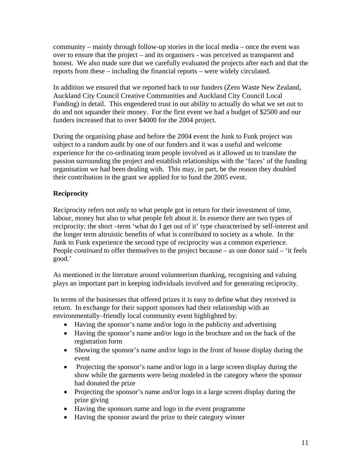community – mainly through follow-up stories in the local media – once the event was over to ensure that the project – and its organisers - was perceived as transparent and honest. We also made sure that we carefully evaluated the projects after each and that the reports from these – including the financial reports – were widely circulated.

In addition we ensured that we reported back to our funders (Zero Waste New Zealand, Auckland City Council Creative Communities and Auckland City Council Local Funding) in detail. This engendered trust in our ability to actually do what we set out to do and not squander their money. For the first event we had a budget of \$2500 and our funders increased that to over \$4000 for the 2004 project.

During the organising phase and before the 2004 event the Junk to Funk project was subject to a random audit by one of our funders and it was a useful and welcome experience for the co-ordinating team people involved as it allowed us to translate the passion surrounding the project and establish relationships with the 'faces' of the funding organisation we had been dealing with. This may, in part, be the reason they doubled their contribution in the grant we applied for to fund the 2005 event.

## **Reciprocity**

Reciprocity refers not only to what people got in return for their investment of time, labour, money but also to what people felt about it. In essence there are two types of reciprocity: the short –term 'what do I get out of it' type characterised by self-interest and the longer term altruistic benefits of what is contributed to society as a whole. In the Junk to Funk experience the second type of reciprocity was a common experience. People *continued* to offer themselves to the project because – as one donor said – 'it feels good.'

As mentioned in the literature around volunteerism thanking, recognising and valuing plays an important part in keeping individuals involved and for generating reciprocity.

In terms of the businesses that offered prizes it is easy to define what they received in return. In exchange for their support sponsors had their relationship with an environmentally–friendly local community event highlighted by:

- Having the sponsor's name and/or logo in the publicity and advertising
- Having the sponsor's name and/or logo in the brochure and on the back of the registration form
- Showing the sponsor's name and/or logo in the front of house display during the event
- Projecting the sponsor's name and/or logo in a large screen display during the show while the garments were being modeled in the category where the sponsor had donated the prize
- Projecting the sponsor's name and/or logo in a large screen display during the prize giving
- Having the sponsors name and logo in the event programme
- Having the sponsor award the prize to their category winner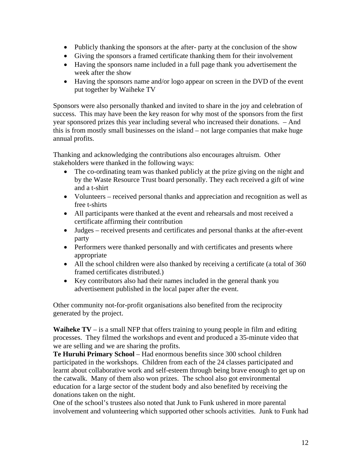- Publicly thanking the sponsors at the after- party at the conclusion of the show
- Giving the sponsors a framed certificate thanking them for their involvement
- Having the sponsors name included in a full page thank you advertisement the week after the show
- Having the sponsors name and/or logo appear on screen in the DVD of the event put together by Waiheke TV

Sponsors were also personally thanked and invited to share in the joy and celebration of success. This may have been the key reason for why most of the sponsors from the first year sponsored prizes this year including several who increased their donations. – And this is from mostly small businesses on the island – not large companies that make huge annual profits.

Thanking and acknowledging the contributions also encourages altruism. Other stakeholders were thanked in the following ways:

- The co-ordinating team was thanked publicly at the prize giving on the night and by the Waste Resource Trust board personally. They each received a gift of wine and a t-shirt
- Volunteers received personal thanks and appreciation and recognition as well as free t-shirts
- All participants were thanked at the event and rehearsals and most received a certificate affirming their contribution
- Judges received presents and certificates and personal thanks at the after-event party
- Performers were thanked personally and with certificates and presents where appropriate
- All the school children were also thanked by receiving a certificate (a total of 360 framed certificates distributed.)
- Key contributors also had their names included in the general thank you advertisement published in the local paper after the event.

Other community not-for-profit organisations also benefited from the reciprocity generated by the project.

**Waiheke TV** – is a small NFP that offers training to young people in film and editing processes. They filmed the workshops and event and produced a 35-minute video that we are selling and we are sharing the profits.

**Te Huruhi Primary School** – Had enormous benefits since 300 school children participated in the workshops. Children from each of the 24 classes participated and learnt about collaborative work and self-esteem through being brave enough to get up on the catwalk. Many of them also won prizes. The school also got environmental education for a large sector of the student body and also benefited by receiving the donations taken on the night.

One of the school's trustees also noted that Junk to Funk ushered in more parental involvement and volunteering which supported other schools activities. Junk to Funk had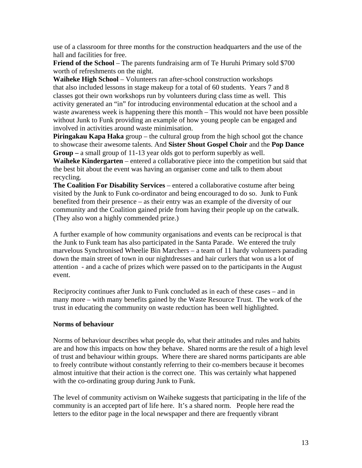use of a classroom for three months for the construction headquarters and the use of the hall and facilities for free.

**Friend of the School** – The parents fundraising arm of Te Huruhi Primary sold \$700 worth of refreshments on the night.

**Waiheke High School** – Volunteers ran after-school construction workshops that also included lessons in stage makeup for a total of 60 students. Years 7 and 8 classes got their own workshops run by volunteers during class time as well. This activity generated an "in" for introducing environmental education at the school and a waste awareness week is happening there this month – This would not have been possible without Junk to Funk providing an example of how young people can be engaged and involved in activities around waste minimisation.

**Piringakau Kapa Haka** group – the cultural group from the high school got the chance to showcase their awesome talents. And **Sister Shout Gospel Choir** and the **Pop Dance Group –** a small group of 11-13 year olds got to perform superbly as well.

**Waiheke Kindergarten** – entered a collaborative piece into the competition but said that the best bit about the event was having an organiser come and talk to them about recycling.

**The Coalition For Disability Services** – entered a collaborative costume after being visited by the Junk to Funk co-ordinator and being encouraged to do so. Junk to Funk benefited from their presence – as their entry was an example of the diversity of our community and the Coalition gained pride from having their people up on the catwalk. (They also won a highly commended prize.)

A further example of how community organisations and events can be reciprocal is that the Junk to Funk team has also participated in the Santa Parade. We entered the truly marvelous Synchronised Wheelie Bin Marchers – a team of 11 hardy volunteers parading down the main street of town in our nightdresses and hair curlers that won us a lot of attention - and a cache of prizes which were passed on to the participants in the August event.

Reciprocity continues after Junk to Funk concluded as in each of these cases – and in many more – with many benefits gained by the Waste Resource Trust. The work of the trust in educating the community on waste reduction has been well highlighted.

#### **Norms of behaviour**

Norms of behaviour describes what people do, what their attitudes and rules and habits are and how this impacts on how they behave. Shared norms are the result of a high level of trust and behaviour within groups. Where there are shared norms participants are able to freely contribute without constantly referring to their co-members because it becomes almost intuitive that their action is the correct one. This was certainly what happened with the co-ordinating group during Junk to Funk.

The level of community activism on Waiheke suggests that participating in the life of the community is an accepted part of life here. It's a shared norm. People here read the letters to the editor page in the local newspaper and there are frequently vibrant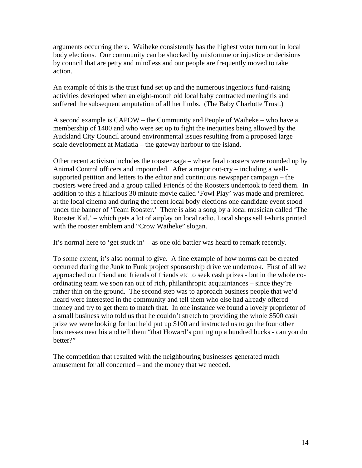arguments occurring there. Waiheke consistently has the highest voter turn out in local body elections. Our community can be shocked by misfortune or injustice or decisions by council that are petty and mindless and our people are frequently moved to take action.

An example of this is the trust fund set up and the numerous ingenious fund-raising activities developed when an eight-month old local baby contracted meningitis and suffered the subsequent amputation of all her limbs. (The Baby Charlotte Trust.)

A second example is CAPOW – the Community and People of Waiheke – who have a membership of 1400 and who were set up to fight the inequities being allowed by the Auckland City Council around environmental issues resulting from a proposed large scale development at Matiatia – the gateway harbour to the island.

Other recent activism includes the rooster saga – where feral roosters were rounded up by Animal Control officers and impounded. After a major out-cry – including a wellsupported petition and letters to the editor and continuous newspaper campaign – the roosters were freed and a group called Friends of the Roosters undertook to feed them. In addition to this a hilarious 30 minute movie called 'Fowl Play' was made and premiered at the local cinema and during the recent local body elections one candidate event stood under the banner of 'Team Rooster.' There is also a song by a local musician called 'The Rooster Kid.' – which gets a lot of airplay on local radio. Local shops sell t-shirts printed with the rooster emblem and "Crow Waiheke" slogan.

It's normal here to 'get stuck in' – as one old battler was heard to remark recently.

To some extent, it's also normal to give. A fine example of how norms can be created occurred during the Junk to Funk project sponsorship drive we undertook. First of all we approached our friend and friends of friends etc to seek cash prizes - but in the whole coordinating team we soon ran out of rich, philanthropic acquaintances – since they're rather thin on the ground. The second step was to approach business people that we'd heard were interested in the community and tell them who else had already offered money and try to get them to match that. In one instance we found a lovely proprietor of a small business who told us that he couldn't stretch to providing the whole \$500 cash prize we were looking for but he'd put up \$100 and instructed us to go the four other businesses near his and tell them "that Howard's putting up a hundred bucks - can you do better?"

The competition that resulted with the neighbouring businesses generated much amusement for all concerned – and the money that we needed.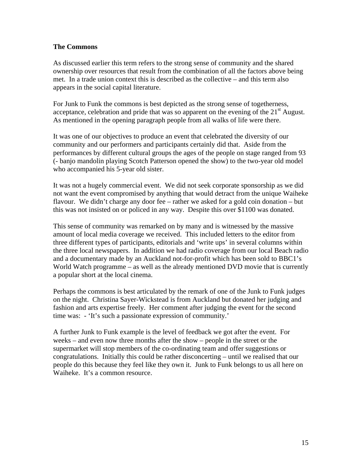#### **The Commons**

As discussed earlier this term refers to the strong sense of community and the shared ownership over resources that result from the combination of all the factors above being met. In a trade union context this is described as the collective – and this term also appears in the social capital literature.

For Junk to Funk the commons is best depicted as the strong sense of togetherness, acceptance, celebration and pride that was so apparent on the evening of the  $21<sup>st</sup>$  August. As mentioned in the opening paragraph people from all walks of life were there.

It was one of our objectives to produce an event that celebrated the diversity of our community and our performers and participants certainly did that. Aside from the performances by different cultural groups the ages of the people on stage ranged from 93 (- banjo mandolin playing Scotch Patterson opened the show) to the two-year old model who accompanied his 5-year old sister.

It was not a hugely commercial event. We did not seek corporate sponsorship as we did not want the event compromised by anything that would detract from the unique Waiheke flavour. We didn't charge any door fee – rather we asked for a gold coin donation – but this was not insisted on or policed in any way. Despite this over \$1100 was donated.

This sense of community was remarked on by many and is witnessed by the massive amount of local media coverage we received. This included letters to the editor from three different types of participants, editorials and 'write ups' in several columns within the three local newspapers. In addition we had radio coverage from our local Beach radio and a documentary made by an Auckland not-for-profit which has been sold to BBC1's World Watch programme – as well as the already mentioned DVD movie that is currently a popular short at the local cinema.

Perhaps the commons is best articulated by the remark of one of the Junk to Funk judges on the night. Christina Sayer-Wickstead is from Auckland but donated her judging and fashion and arts expertise freely. Her comment after judging the event for the second time was: - 'It's such a passionate expression of community.'

A further Junk to Funk example is the level of feedback we got after the event. For weeks – and even now three months after the show – people in the street or the supermarket will stop members of the co-ordinating team and offer suggestions or congratulations. Initially this could be rather disconcerting – until we realised that our people do this because they feel like they own it. Junk to Funk belongs to us all here on Waiheke. It's a common resource.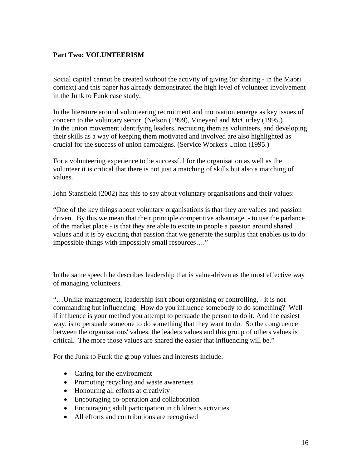### **Part Two: VOLUNTEERISM**

Social capital cannot be created without the activity of giving (or sharing - in the Maori context) and this paper has already demonstrated the high level of volunteer involvement in the Junk to Funk case study.

In the literature around volunteering recruitment and motivation emerge as key issues of concern to the voluntary sector. (Nelson (1999), Vineyard and McCurley (1995.) In the union movement identifying leaders, recruiting them as volunteers, and developing their skills as a way of keeping them motivated and involved are also highlighted as crucial for the success of union campaigns. (Service Workers Union (1995.)

For a volunteering experience to be successful for the organisation as well as the volunteer it is critical that there is not just a matching of skills but also a matching of values.

John Stansfield (2002) has this to say about voluntary organisations and their values:

"One of the key things about voluntary organisations is that they are values and passion driven. By this we mean that their principle competitive advantage - to use the parlance of the market place - is that they are able to excite in people a passion around shared values and it is by exciting that passion that we generate the surplus that enables us to do impossible things with impossibly small resources…."

In the same speech he describes leadership that is value-driven as the most effective way of managing volunteers.

"…Unlike management, leadership isn't about organising or controlling, - it is not commanding but influencing. How do you influence somebody to do something? Well if influence is your method you attempt to persuade the person to do it. And the easiest way, is to persuade someone to do something that they want to do. So the congruence between the organisations' values, the leaders values and this group of others values is critical. The more those values are shared the easier that influencing will be."

For the Junk to Funk the group values and interests include:

- Caring for the environment
- Promoting recycling and waste awareness
- Honouring all efforts at creativity
- Encouraging co-operation and collaboration
- Encouraging adult participation in children's activities
- All efforts and contributions are recognised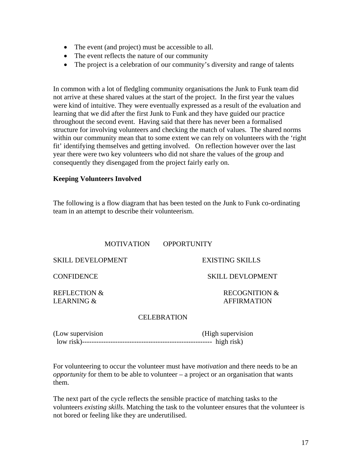- The event (and project) must be accessible to all.
- The event reflects the nature of our community
- The project is a celebration of our community's diversity and range of talents

In common with a lot of fledgling community organisations the Junk to Funk team did not arrive at these shared values at the start of the project. In the first year the values were kind of intuitive. They were eventually expressed as a result of the evaluation and learning that we did after the first Junk to Funk and they have guided our practice throughout the second event. Having said that there has never been a formalised structure for involving volunteers and checking the match of values. The shared norms within our community mean that to some extent we can rely on volunteers with the 'right' fit' identifying themselves and getting involved. On reflection however over the last year there were two key volunteers who did not share the values of the group and consequently they disengaged from the project fairly early on.

#### **Keeping Volunteers Involved**

The following is a flow diagram that has been tested on the Junk to Funk co-ordinating team in an attempt to describe their volunteerism.

#### MOTIVATION OPPORTUNITY

SKILL DEVELOPMENT EXISTING SKILLS

REFLECTION & RECOGNITION & LEARNING &  $\overline{A}$  affirmation

CONFIDENCE SKILL DEVLOPMENT

#### CELEBRATION

| (Low supervision | (High supervision) |
|------------------|--------------------|
|                  |                    |

For volunteering to occur the volunteer must have *motivation* and there needs to be an *opportunity* for them to be able to volunteer – a project or an organisation that wants them.

The next part of the cycle reflects the sensible practice of matching tasks to the volunteers *existing skills*. Matching the task to the volunteer ensures that the volunteer is not bored or feeling like they are underutilised.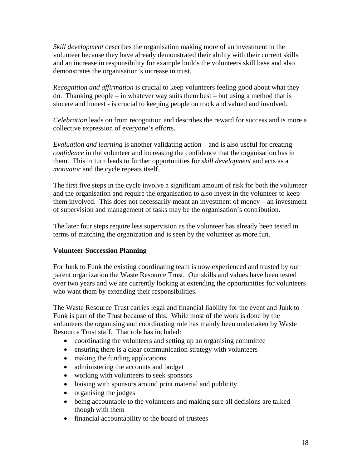*Skill development* describes the organisation making more of an investment in the volunteer because they have already demonstrated their ability with their current skills and an increase in responsibility for example builds the volunteers skill base and also demonstrates the organisation's increase in trust.

*Recognition and affirmation* is crucial to keep volunteers feeling good about what they do. Thanking people – in whatever way suits them best – but using a method that is sincere and honest - is crucial to keeping people on track and valued and involved.

*Celebration* leads on from recognition and describes the reward for success and is more a collective expression of everyone's efforts.

*Evaluation and learning* is another validating action – and is also useful for creating *confidence* in the volunteer and increasing the confidence that the organisation has in them. This in turn leads to further opportunities for *skill development* and acts as a *motivator* and the cycle repeats itself.

The first five steps in the cycle involve a significant amount of risk for both the volunteer and the organisation and require the organisation to also invest in the volunteer to keep them involved. This does not necessarily meant an investment of money – an investment of supervision and management of tasks may be the organisation's contribution.

The later four steps require less supervision as the volunteer has already been tested in terms of matching the organization and is seen by the volunteer as more fun.

#### **Volunteer Succession Planning**

For Junk to Funk the existing coordinating team is now experienced and trusted by our parent organization the Waste Resource Trust. Our skills and values have been tested over two years and we are currently looking at extending the opportunities for volunteers who want them by extending their responsibilities.

The Waste Resource Trust carries legal and financial liability for the event and Junk to Funk is part of the Trust because of this. While most of the work is done by the volunteers the organising and coordinating role has mainly been undertaken by Waste Resource Trust staff. That role has included:

- coordinating the volunteers and setting up an organising committee
- ensuring there is a clear communication strategy with volunteers
- making the funding applications
- administering the accounts and budget
- working with volunteers to seek sponsors
- liaising with sponsors around print material and publicity
- organising the judges
- being accountable to the volunteers and making sure all decisions are talked though with them
- financial accountability to the board of trustees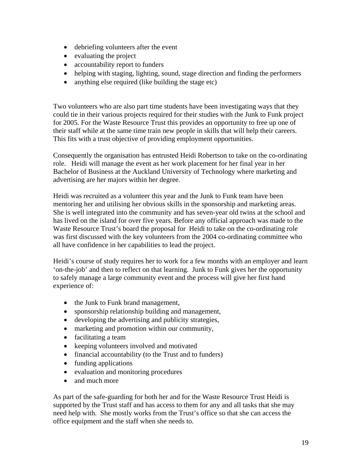- debriefing volunteers after the event
- evaluating the project
- accountability report to funders
- helping with staging, lighting, sound, stage direction and finding the performers
- anything else required (like building the stage etc)

Two volunteers who are also part time students have been investigating ways that they could tie in their various projects required for their studies with the Junk to Funk project for 2005. For the Waste Resource Trust this provides an opportunity to free up one of their staff while at the same time train new people in skills that will help their careers. This fits with a trust objective of providing employment opportunities.

Consequently the organisation has entrusted Heidi Robertson to take on the co-ordinating role. Heidi will manage the event as her work placement for her final year in her Bachelor of Business at the Auckland University of Technology where marketing and advertising are her majors within her degree.

Heidi was recruited as a volunteer this year and the Junk to Funk team have been mentoring her and utilising her obvious skills in the sponsorship and marketing areas. She is well integrated into the community and has seven-year old twins at the school and has lived on the island for over five years. Before any official approach was made to the Waste Resource Trust's board the proposal for Heidi to take on the co-ordinating role was first discussed with the key volunteers from the 2004 co-ordinating committee who all have confidence in her capabilities to lead the project.

Heidi's course of study requires her to work for a few months with an employer and learn 'on-the-job' and then to reflect on that learning. Junk to Funk gives her the opportunity to safely manage a large community event and the process will give her first hand experience of:

- the Junk to Funk brand management,
- sponsorship relationship building and management,
- developing the advertising and publicity strategies,
- marketing and promotion within our community,
- facilitating a team
- keeping volunteers involved and motivated
- financial accountability (to the Trust and to funders)
- funding applications
- evaluation and monitoring procedures
- and much more

As part of the safe-guarding for both her and for the Waste Resource Trust Heidi is supported by the Trust staff and has access to them for any and all tasks that she may need help with. She mostly works from the Trust's office so that she can access the office equipment and the staff when she needs to.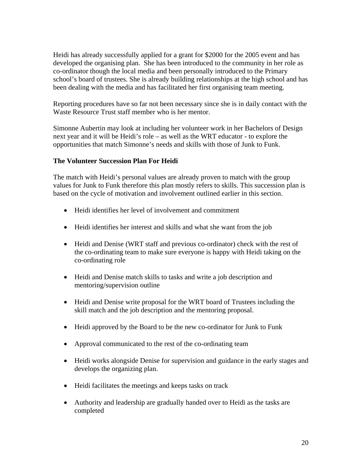Heidi has already successfully applied for a grant for \$2000 for the 2005 event and has developed the organising plan. She has been introduced to the community in her role as co-ordinator though the local media and been personally introduced to the Primary school's board of trustees. She is already building relationships at the high school and has been dealing with the media and has facilitated her first organising team meeting.

Reporting procedures have so far not been necessary since she is in daily contact with the Waste Resource Trust staff member who is her mentor.

Simonne Aubertin may look at including her volunteer work in her Bachelors of Design next year and it will be Heidi's role – as well as the WRT educator - to explore the opportunities that match Simonne's needs and skills with those of Junk to Funk.

#### **The Volunteer Succession Plan For Heidi**

The match with Heidi's personal values are already proven to match with the group values for Junk to Funk therefore this plan mostly refers to skills. This succession plan is based on the cycle of motivation and involvement outlined earlier in this section.

- Heidi identifies her level of involvement and commitment
- Heidi identifies her interest and skills and what she want from the job
- Heidi and Denise (WRT staff and previous co-ordinator) check with the rest of the co-ordinating team to make sure everyone is happy with Heidi taking on the co-ordinating role
- Heidi and Denise match skills to tasks and write a job description and mentoring/supervision outline
- Heidi and Denise write proposal for the WRT board of Trustees including the skill match and the job description and the mentoring proposal.
- Heidi approved by the Board to be the new co-ordinator for Junk to Funk
- Approval communicated to the rest of the co-ordinating team
- Heidi works alongside Denise for supervision and guidance in the early stages and develops the organizing plan.
- Heidi facilitates the meetings and keeps tasks on track
- Authority and leadership are gradually handed over to Heidi as the tasks are completed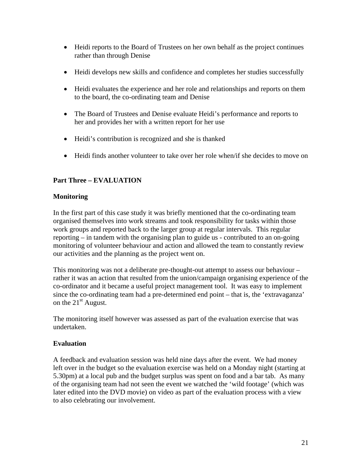- Heidi reports to the Board of Trustees on her own behalf as the project continues rather than through Denise
- Heidi develops new skills and confidence and completes her studies successfully
- Heidi evaluates the experience and her role and relationships and reports on them to the board, the co-ordinating team and Denise
- The Board of Trustees and Denise evaluate Heidi's performance and reports to her and provides her with a written report for her use
- Heidi's contribution is recognized and she is thanked
- Heidi finds another volunteer to take over her role when/if she decides to move on

## **Part Three – EVALUATION**

### **Monitoring**

In the first part of this case study it was briefly mentioned that the co-ordinating team organised themselves into work streams and took responsibility for tasks within those work groups and reported back to the larger group at regular intervals. This regular reporting – in tandem with the organising plan to guide us - contributed to an on-going monitoring of volunteer behaviour and action and allowed the team to constantly review our activities and the planning as the project went on.

This monitoring was not a deliberate pre-thought-out attempt to assess our behaviour – rather it was an action that resulted from the union/campaign organising experience of the co-ordinator and it became a useful project management tool. It was easy to implement since the co-ordinating team had a pre-determined end point – that is, the 'extravaganza' on the  $21<sup>st</sup>$  August.

The monitoring itself however was assessed as part of the evaluation exercise that was undertaken.

## **Evaluation**

A feedback and evaluation session was held nine days after the event. We had money left over in the budget so the evaluation exercise was held on a Monday night (starting at 5.30pm) at a local pub and the budget surplus was spent on food and a bar tab. As many of the organising team had not seen the event we watched the 'wild footage' (which was later edited into the DVD movie) on video as part of the evaluation process with a view to also celebrating our involvement.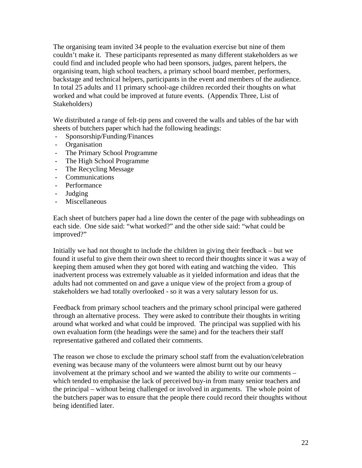The organising team invited 34 people to the evaluation exercise but nine of them couldn't make it. These participants represented as many different stakeholders as we could find and included people who had been sponsors, judges, parent helpers, the organising team, high school teachers, a primary school board member, performers, backstage and technical helpers, participants in the event and members of the audience. In total 25 adults and 11 primary school-age children recorded their thoughts on what worked and what could be improved at future events. (Appendix Three, List of Stakeholders)

We distributed a range of felt-tip pens and covered the walls and tables of the bar with sheets of butchers paper which had the following headings:

- Sponsorship/Funding/Finances
- Organisation
- The Primary School Programme
- The High School Programme
- The Recycling Message
- Communications
- Performance
- Judging
- Miscellaneous

Each sheet of butchers paper had a line down the center of the page with subheadings on each side. One side said: "what worked?" and the other side said: "what could be improved?"

Initially we had not thought to include the children in giving their feedback – but we found it useful to give them their own sheet to record their thoughts since it was a way of keeping them amused when they got bored with eating and watching the video. This inadvertent process was extremely valuable as it yielded information and ideas that the adults had not commented on and gave a unique view of the project from a group of stakeholders we had totally overlooked - so it was a very salutary lesson for us.

Feedback from primary school teachers and the primary school principal were gathered through an alternative process. They were asked to contribute their thoughts in writing around what worked and what could be improved. The principal was supplied with his own evaluation form (the headings were the same) and for the teachers their staff representative gathered and collated their comments.

The reason we chose to exclude the primary school staff from the evaluation/celebration evening was because many of the volunteers were almost burnt out by our heavy involvement at the primary school and we wanted the ability to write our comments – which tended to emphasise the lack of perceived buy-in from many senior teachers and the principal – without being challenged or involved in arguments. The whole point of the butchers paper was to ensure that the people there could record their thoughts without being identified later.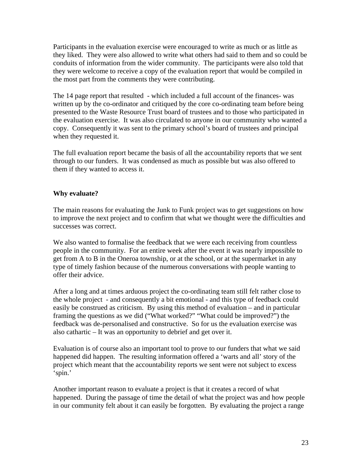Participants in the evaluation exercise were encouraged to write as much or as little as they liked. They were also allowed to write what others had said to them and so could be conduits of information from the wider community. The participants were also told that they were welcome to receive a copy of the evaluation report that would be compiled in the most part from the comments they were contributing.

The 14 page report that resulted - which included a full account of the finances- was written up by the co-ordinator and critiqued by the core co-ordinating team before being presented to the Waste Resource Trust board of trustees and to those who participated in the evaluation exercise. It was also circulated to anyone in our community who wanted a copy. Consequently it was sent to the primary school's board of trustees and principal when they requested it.

The full evaluation report became the basis of all the accountability reports that we sent through to our funders. It was condensed as much as possible but was also offered to them if they wanted to access it.

#### **Why evaluate?**

The main reasons for evaluating the Junk to Funk project was to get suggestions on how to improve the next project and to confirm that what we thought were the difficulties and successes was correct.

We also wanted to formalise the feedback that we were each receiving from countless people in the community. For an entire week after the event it was nearly impossible to get from A to B in the Oneroa township, or at the school, or at the supermarket in any type of timely fashion because of the numerous conversations with people wanting to offer their advice.

After a long and at times arduous project the co-ordinating team still felt rather close to the whole project - and consequently a bit emotional - and this type of feedback could easily be construed as criticism. By using this method of evaluation – and in particular framing the questions as we did ("What worked?" "What could be improved?") the feedback was de-personalised and constructive. So for us the evaluation exercise was also cathartic – It was an opportunity to debrief and get over it.

Evaluation is of course also an important tool to prove to our funders that what we said happened did happen. The resulting information offered a 'warts and all' story of the project which meant that the accountability reports we sent were not subject to excess 'spin.'

Another important reason to evaluate a project is that it creates a record of what happened. During the passage of time the detail of what the project was and how people in our community felt about it can easily be forgotten. By evaluating the project a range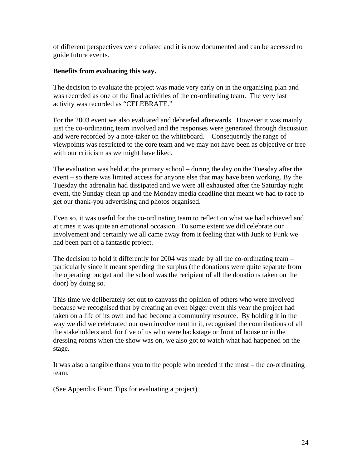of different perspectives were collated and it is now documented and can be accessed to guide future events.

#### **Benefits from evaluating this way.**

The decision to evaluate the project was made very early on in the organising plan and was recorded as one of the final activities of the co-ordinating team. The very last activity was recorded as "CELEBRATE."

For the 2003 event we also evaluated and debriefed afterwards. However it was mainly just the co-ordinating team involved and the responses were generated through discussion and were recorded by a note-taker on the whiteboard. Consequently the range of viewpoints was restricted to the core team and we may not have been as objective or free with our criticism as we might have liked.

The evaluation was held at the primary school – during the day on the Tuesday after the event – so there was limited access for anyone else that may have been working. By the Tuesday the adrenalin had dissipated and we were all exhausted after the Saturday night event, the Sunday clean up and the Monday media deadline that meant we had to race to get our thank-you advertising and photos organised.

Even so, it was useful for the co-ordinating team to reflect on what we had achieved and at times it was quite an emotional occasion. To some extent we did celebrate our involvement and certainly we all came away from it feeling that with Junk to Funk we had been part of a fantastic project.

The decision to hold it differently for 2004 was made by all the co-ordinating team – particularly since it meant spending the surplus (the donations were quite separate from the operating budget and the school was the recipient of all the donations taken on the door) by doing so.

This time we deliberately set out to canvass the opinion of others who were involved because we recognised that by creating an even bigger event this year the project had taken on a life of its own and had become a community resource. By holding it in the way we did we celebrated our own involvement in it, recognised the contributions of all the stakeholders and, for five of us who were backstage or front of house or in the dressing rooms when the show was on, we also got to watch what had happened on the stage.

It was also a tangible thank you to the people who needed it the most – the co-ordinating team.

(See Appendix Four: Tips for evaluating a project)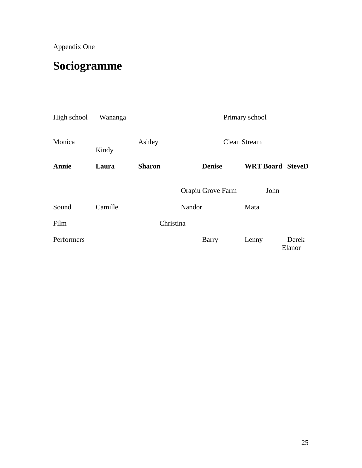Appendix One

# **Sociogramme**

| High school  | Wananga | Primary school |                     |                         |                 |
|--------------|---------|----------------|---------------------|-------------------------|-----------------|
| Monica       | Kindy   | Ashley         | <b>Clean Stream</b> |                         |                 |
| <b>Annie</b> | Laura   | <b>Sharon</b>  | <b>Denise</b>       | <b>WRT Board SteveD</b> |                 |
|              |         |                | Orapiu Grove Farm   | John                    |                 |
| Sound        | Camille |                | Nandor              | Mata                    |                 |
| Film         |         | Christina      |                     |                         |                 |
| Performers   |         |                | Barry               | Lenny                   | Derek<br>Elanor |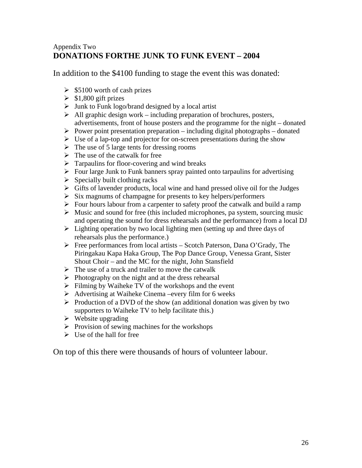## Appendix Two **DONATIONS FORTHE JUNK TO FUNK EVENT – 2004**

In addition to the \$4100 funding to stage the event this was donated:

- $\geq$  \$5100 worth of cash prizes
- $\geq$  \$1,800 gift prizes
- $\triangleright$  Junk to Funk logo/brand designed by a local artist
- $\triangleright$  All graphic design work including preparation of brochures, posters, advertisements, front of house posters and the programme for the night – donated
- $\triangleright$  Power point presentation preparation including digital photographs donated
- $\triangleright$  Use of a lap-top and projector for on-screen presentations during the show
- $\triangleright$  The use of 5 large tents for dressing rooms
- $\triangleright$  The use of the catwalk for free
- $\triangleright$  Tarpaulins for floor-covering and wind breaks
- $\triangleright$  Four large Junk to Funk banners spray painted onto tarpaulins for advertising
- $\triangleright$  Specially built clothing racks
- $\triangleright$  Gifts of lavender products, local wine and hand pressed olive oil for the Judges
- $\triangleright$  Six magnums of champagne for presents to key helpers/performers
- $\triangleright$  Four hours labour from a carpenter to safety proof the catwalk and build a ramp
- $\triangleright$  Music and sound for free (this included microphones, pa system, sourcing music and operating the sound for dress rehearsals and the performance) from a local DJ
- $\triangleright$  Lighting operation by two local lighting men (setting up and three days of rehearsals plus the performance.)
- ¾ Free performances from local artists Scotch Paterson, Dana O'Grady, The Piringakau Kapa Haka Group, The Pop Dance Group, Venessa Grant, Sister Shout Choir – and the MC for the night, John Stansfield
- $\triangleright$  The use of a truck and trailer to move the catwalk
- $\triangleright$  Photography on the night and at the dress rehearsal
- $\triangleright$  Filming by Waiheke TV of the workshops and the event
- $\triangleright$  Advertising at Waiheke Cinema –every film for 6 weeks
- $\triangleright$  Production of a DVD of the show (an additional donation was given by two supporters to Waiheke TV to help facilitate this.)
- $\triangleright$  Website upgrading
- $\triangleright$  Provision of sewing machines for the workshops
- $\triangleright$  Use of the hall for free

On top of this there were thousands of hours of volunteer labour.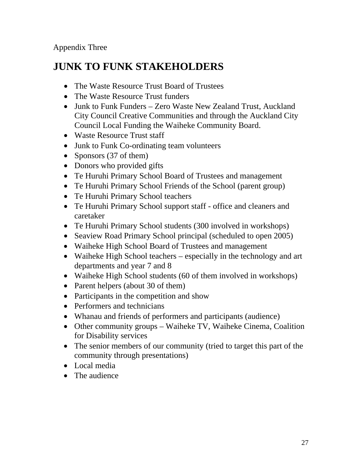Appendix Three

## **JUNK TO FUNK STAKEHOLDERS**

- The Waste Resource Trust Board of Trustees
- The Waste Resource Trust funders
- Junk to Funk Funders Zero Waste New Zealand Trust, Auckland City Council Creative Communities and through the Auckland City Council Local Funding the Waiheke Community Board.
- Waste Resource Trust staff
- Junk to Funk Co-ordinating team volunteers
- Sponsors (37 of them)
- Donors who provided gifts
- Te Huruhi Primary School Board of Trustees and management
- Te Huruhi Primary School Friends of the School (parent group)
- Te Huruhi Primary School teachers
- Te Huruhi Primary School support staff office and cleaners and caretaker
- Te Huruhi Primary School students (300 involved in workshops)
- Seaview Road Primary School principal (scheduled to open 2005)
- Waiheke High School Board of Trustees and management
- Waiheke High School teachers especially in the technology and art departments and year 7 and 8
- Waiheke High School students (60 of them involved in workshops)
- Parent helpers (about 30 of them)
- Participants in the competition and show
- Performers and technicians
- Whanau and friends of performers and participants (audience)
- Other community groups Waiheke TV, Waiheke Cinema, Coalition for Disability services
- The senior members of our community (tried to target this part of the community through presentations)
- Local media
- The audience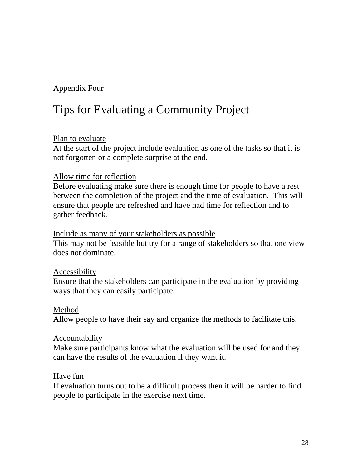## Appendix Four

# Tips for Evaluating a Community Project

## Plan to evaluate

At the start of the project include evaluation as one of the tasks so that it is not forgotten or a complete surprise at the end.

## Allow time for reflection

Before evaluating make sure there is enough time for people to have a rest between the completion of the project and the time of evaluation. This will ensure that people are refreshed and have had time for reflection and to gather feedback.

### Include as many of your stakeholders as possible

This may not be feasible but try for a range of stakeholders so that one view does not dominate.

## Accessibility

Ensure that the stakeholders can participate in the evaluation by providing ways that they can easily participate.

## Method

Allow people to have their say and organize the methods to facilitate this.

## Accountability

Make sure participants know what the evaluation will be used for and they can have the results of the evaluation if they want it.

## Have fun

If evaluation turns out to be a difficult process then it will be harder to find people to participate in the exercise next time.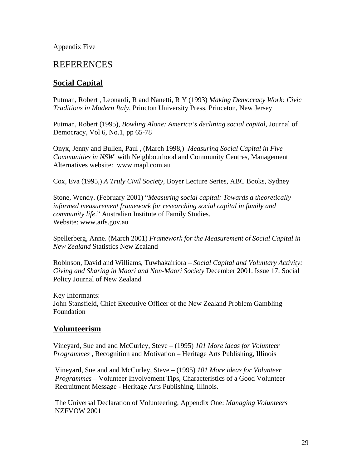Appendix Five

## REFERENCES

## **Social Capital**

Putman, Robert , Leonardi, R and Nanetti, R Y (1993) *Making Democracy Work: Civic Traditions in Modern Italy,* Princton University Press, Princeton, New Jersey

Putman, Robert (1995), *Bowling Alone: America's declining social capital,* Journal of Democracy, Vol 6, No.1, pp 65-78

Onyx, Jenny and Bullen, Paul , (March 1998,) *Measuring Social Capital in Five Communities in NSW* with Neighbourhood and Community Centres, Management Alternatives website: www.mapl.com.au

Cox, Eva (1995,) *A Truly Civil Society*, Boyer Lecture Series, ABC Books, Sydney

Stone, Wendy. (February 2001) "*Measuring social capital: Towards a theoretically informed measurement framework for researching social capital in family and community life*." Australian Institute of Family Studies. Website: www.aifs.gov.au

Spellerberg, Anne. (March 2001) *Framework for the Measurement of Social Capital in New Zealand* Statistics New Zealand

Robinson, David and Williams, Tuwhakairiora – *Social Capital and Voluntary Activity: Giving and Sharing in Maori and Non-Maori Society* December 2001. Issue 17. Social Policy Journal of New Zealand

Key Informants: John Stansfield, Chief Executive Officer of the New Zealand Problem Gambling Foundation

## **Volunteerism**

Vineyard, Sue and and McCurley, Steve – (1995) *101 More ideas for Volunteer Programmes* , Recognition and Motivation – Heritage Arts Publishing, Illinois

Vineyard, Sue and and McCurley, Steve – (1995) *101 More ideas for Volunteer Programmes –* Volunteer Involvement Tips, Characteristics of a Good Volunteer Recruitment Message - Heritage Arts Publishing, Illinois.

The Universal Declaration of Volunteering, Appendix One: *Managing Volunteers*  NZFVOW 2001